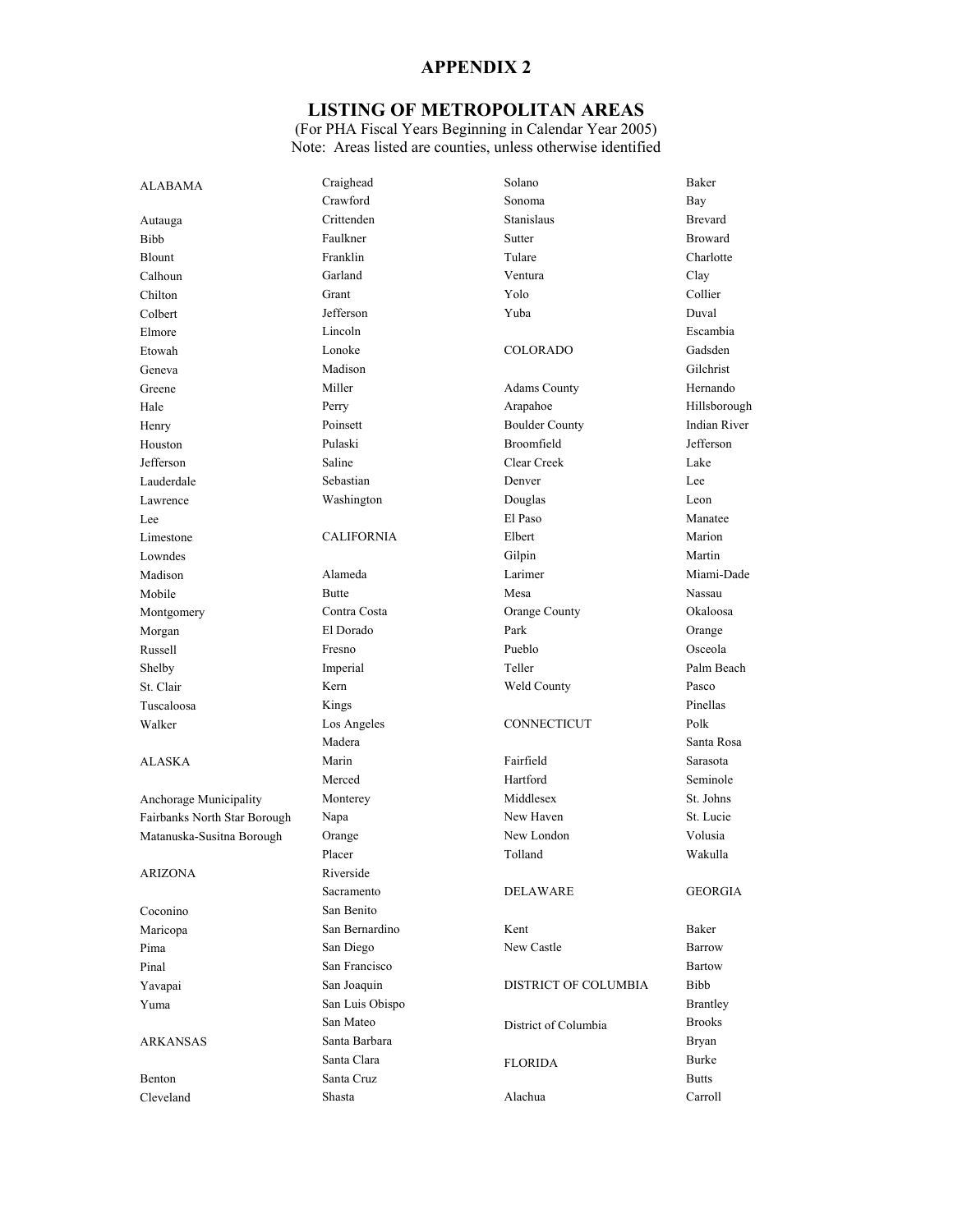## **LISTING OF METROPOLITAN AREAS**

| <b>ALABAMA</b>               | Craighead         | Solano                | Baker               |
|------------------------------|-------------------|-----------------------|---------------------|
|                              | Crawford          | Sonoma                | Bay                 |
| Autauga                      | Crittenden        | Stanislaus            | <b>Brevard</b>      |
| Bibb                         | Faulkner          | Sutter                | <b>Broward</b>      |
| Blount                       | Franklin          | Tulare                | Charlotte           |
| Calhoun                      | Garland           | Ventura               | Clay                |
| Chilton                      | Grant             | Yolo                  | Collier             |
| Colbert                      | Jefferson         | Yuba                  | Duval               |
| Elmore                       | Lincoln           |                       | Escambia            |
| Etowah                       | Lonoke            | <b>COLORADO</b>       | Gadsden             |
| Geneva                       | Madison           |                       | Gilchrist           |
| Greene                       | Miller            | <b>Adams County</b>   | Hernando            |
| Hale                         | Perry             | Arapahoe              | Hillsborough        |
| Henry                        | Poinsett          | <b>Boulder County</b> | <b>Indian River</b> |
| Houston                      | Pulaski           | Broomfield            | Jefferson           |
| Jefferson                    | Saline            | Clear Creek           | Lake                |
| Lauderdale                   | Sebastian         | Denver                | Lee                 |
| Lawrence                     | Washington        | Douglas               | Leon                |
| Lee                          |                   | El Paso               | Manatee             |
| Limestone                    | <b>CALIFORNIA</b> | Elbert                | Marion              |
| Lowndes                      |                   | Gilpin                | Martin              |
| Madison                      | Alameda           | Larimer               | Miami-Dade          |
| Mobile                       | <b>Butte</b>      | Mesa                  | Nassau              |
| Montgomery                   | Contra Costa      | Orange County         | Okaloosa            |
| Morgan                       | El Dorado         | Park                  | Orange              |
| Russell                      | Fresno            | Pueblo                | Osceola             |
| Shelby                       | Imperial          | Teller                | Palm Beach          |
| St. Clair                    | Kern              | Weld County           | Pasco               |
| Tuscaloosa                   | Kings             |                       | Pinellas            |
| Walker                       | Los Angeles       | CONNECTICUT           | Polk                |
|                              | Madera            |                       | Santa Rosa          |
| <b>ALASKA</b>                | Marin             | Fairfield             | Sarasota            |
|                              | Merced            | Hartford              | Seminole            |
| Anchorage Municipality       | Monterey          | Middlesex             | St. Johns           |
| Fairbanks North Star Borough | Napa              | New Haven             | St. Lucie           |
| Matanuska-Susitna Borough    | Orange            | New London            | Volusia             |
|                              | Placer            | Tolland               | Wakulla             |
| <b>ARIZONA</b>               | Riverside         |                       |                     |
|                              | Sacramento        | DELAWARE              | GEORGIA             |
| Coconino                     | San Benito        |                       |                     |
| Maricopa                     | San Bernardino    | Kent                  | Baker               |
| Pima                         | San Diego         | New Castle            | <b>Barrow</b>       |
| Pinal                        | San Francisco     |                       | <b>Bartow</b>       |
| Yavapai                      | San Joaquin       | DISTRICT OF COLUMBIA  | Bibb                |
| Yuma                         | San Luis Obispo   |                       | <b>Brantley</b>     |
|                              | San Mateo         | District of Columbia  | <b>Brooks</b>       |
| ARKANSAS                     | Santa Barbara     |                       | Bryan               |
|                              | Santa Clara       | <b>FLORIDA</b>        | <b>Burke</b>        |
| Benton                       | Santa Cruz        |                       | <b>Butts</b>        |
| Cleveland                    | Shasta            | Alachua               | Carroll             |
|                              |                   |                       |                     |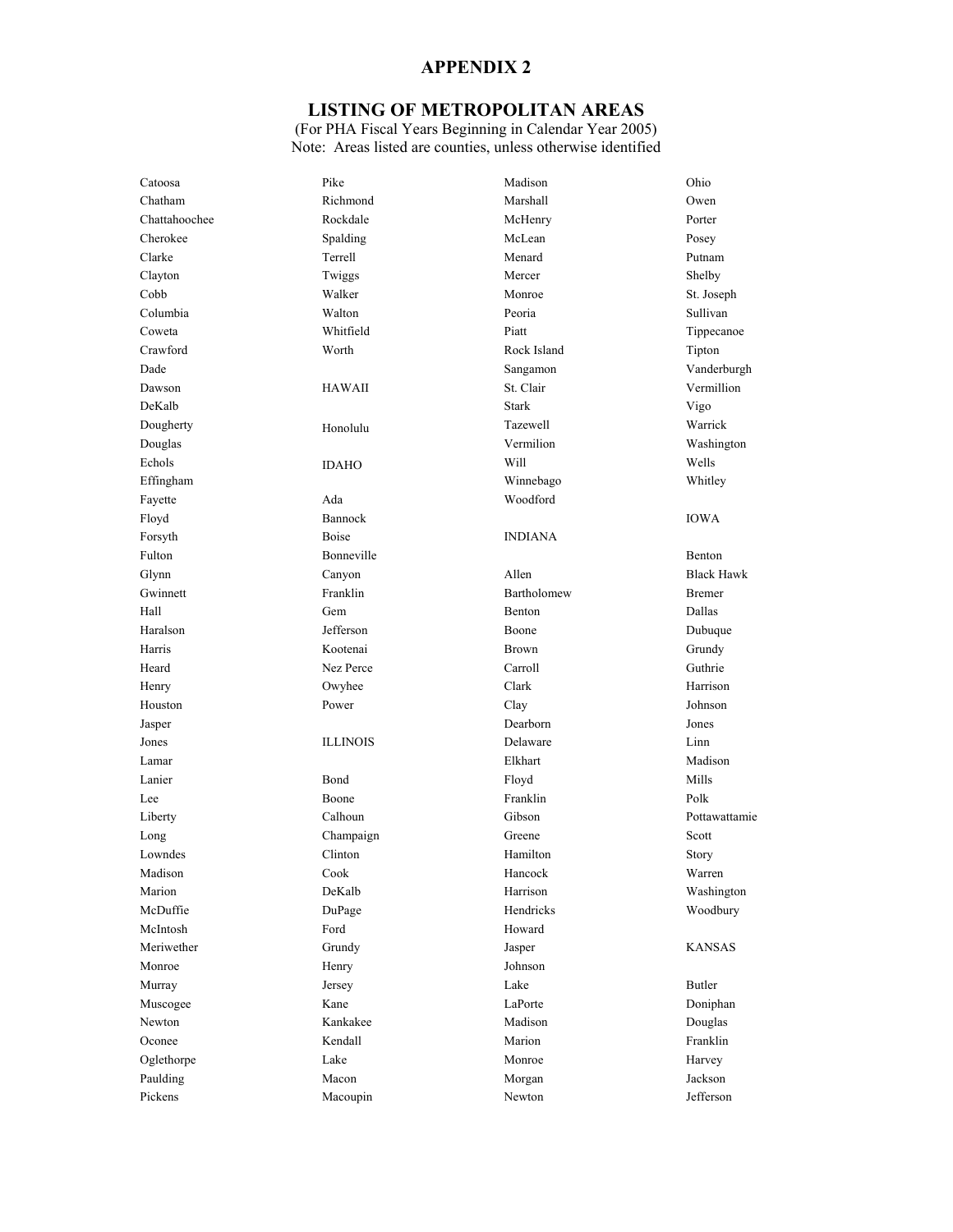## **LISTING OF METROPOLITAN AREAS**

| Catoosa       | Pike            | Madison        | Ohio              |
|---------------|-----------------|----------------|-------------------|
| Chatham       | Richmond        | Marshall       | Owen              |
| Chattahoochee | Rockdale        | McHenry        | Porter            |
| Cherokee      | Spalding        | McLean         | Posey             |
| Clarke        | Terrell         | Menard         | Putnam            |
| Clayton       | Twiggs          | Mercer         | Shelby            |
| Cobb          | Walker          | Monroe         | St. Joseph        |
| Columbia      | Walton          | Peoria         | Sullivan          |
| Coweta        | Whitfield       | Piatt          | Tippecanoe        |
| Crawford      | Worth           | Rock Island    | Tipton            |
| Dade          |                 | Sangamon       | Vanderburgh       |
| Dawson        | HAWAII          | St. Clair      | Vermillion        |
| DeKalb        |                 | <b>Stark</b>   | Vigo              |
| Dougherty     | Honolulu        | Tazewell       | Warrick           |
| Douglas       |                 | Vermilion      | Washington        |
| Echols        | <b>IDAHO</b>    | Will           | Wells             |
| Effingham     |                 | Winnebago      | Whitley           |
| Fayette       | Ada             | Woodford       |                   |
| Floyd         | Bannock         |                | <b>IOWA</b>       |
| Forsyth       | <b>Boise</b>    | <b>INDIANA</b> |                   |
| Fulton        | Bonneville      |                | Benton            |
| Glynn         | Canyon          | Allen          | <b>Black Hawk</b> |
| Gwinnett      | Franklin        | Bartholomew    | <b>Bremer</b>     |
| Hall          | Gem             | Benton         | Dallas            |
| Haralson      | Jefferson       | Boone          | Dubuque           |
| Harris        | Kootenai        | Brown          | Grundy            |
| Heard         | Nez Perce       | Carroll        | Guthrie           |
| Henry         | Owyhee          | Clark          | Harrison          |
| Houston       | Power           | Clay           | Johnson           |
| Jasper        |                 | Dearborn       | Jones             |
| Jones         | <b>ILLINOIS</b> | Delaware       | Linn              |
| Lamar         |                 | Elkhart        | Madison           |
| Lanier        | Bond            | Floyd          | Mills             |
| Lee           | Boone           | Franklin       | Polk              |
| Liberty       | Calhoun         | Gibson         | Pottawattamie     |
| Long          | Champaign       | Greene         | Scott             |
| Lowndes       | Clinton         | Hamilton       | Story             |
| Madison       | Cook            | Hancock        | Warren            |
| Marion        | DeKalb          | Harrison       | Washington        |
| McDuffie      | DuPage          | Hendricks      | Woodbury          |
| McIntosh      | Ford            | Howard         |                   |
| Meriwether    | Grundy          | Jasper         | <b>KANSAS</b>     |
| Monroe        | Henry           | Johnson        |                   |
| Murray        | Jersey          | Lake           | <b>Butler</b>     |
| Muscogee      | Kane            | LaPorte        | Doniphan          |
| Newton        | Kankakee        | Madison        | Douglas           |
| Oconee        | Kendall         | Marion         | Franklin          |
| Oglethorpe    | Lake            | Monroe         | Harvey            |
| Paulding      | Macon           | Morgan         | Jackson           |
| Pickens       | Macoupin        | Newton         | Jefferson         |
|               |                 |                |                   |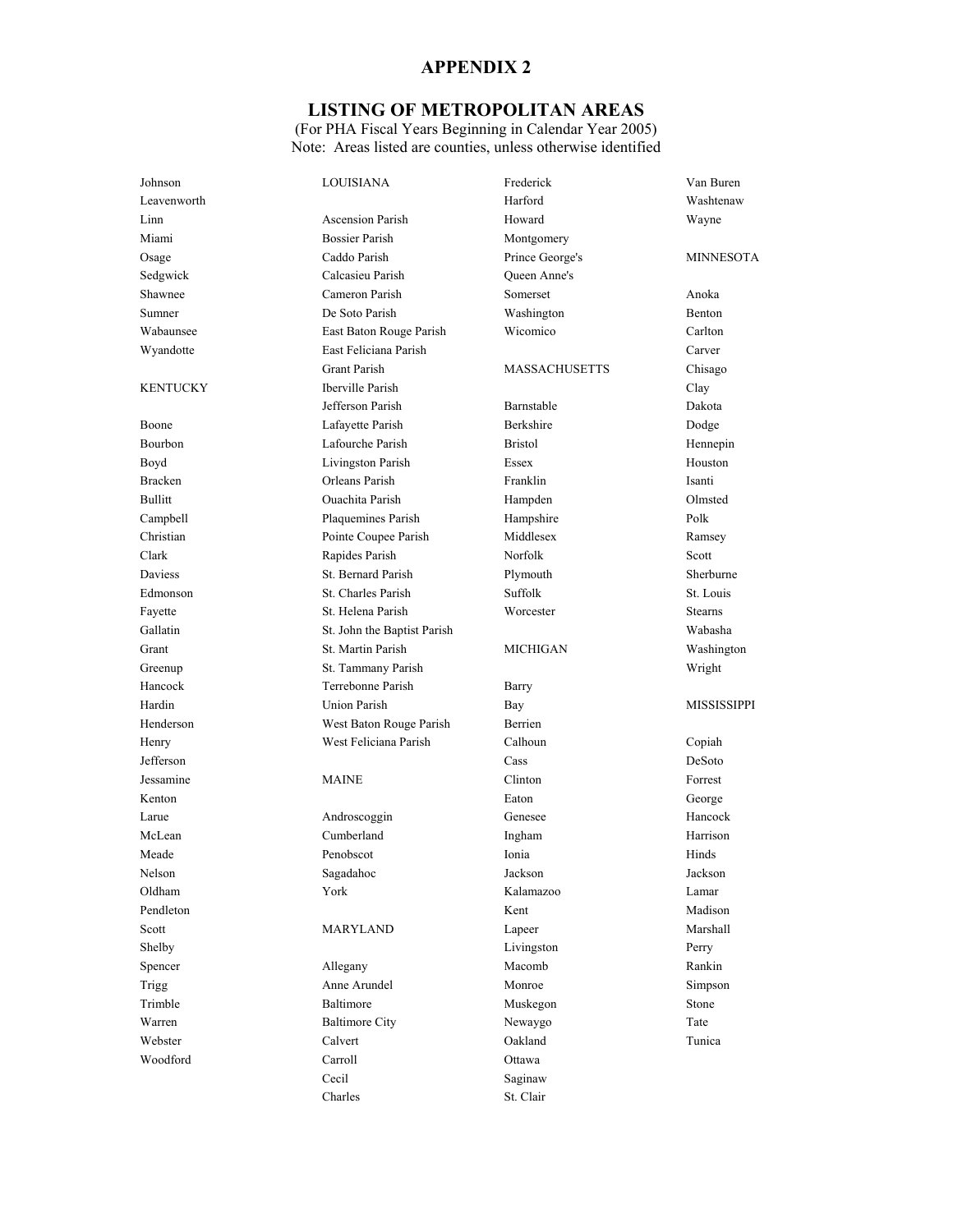## **LISTING OF METROPOLITAN AREAS**

| Johnson        | <b>LOUISIANA</b>            | Frederick            | Van Buren        |
|----------------|-----------------------------|----------------------|------------------|
| Leavenworth    |                             | Harford              | Washtenaw        |
| Linn           | <b>Ascension Parish</b>     | Howard               | Wayne            |
| Miami          | <b>Bossier Parish</b>       | Montgomery           |                  |
| Osage          | Caddo Parish                | Prince George's      | <b>MINNESOTA</b> |
| Sedgwick       | Calcasieu Parish            | <b>Oueen Anne's</b>  |                  |
| Shawnee        | Cameron Parish              | Somerset             | Anoka            |
| Sumner         | De Soto Parish              | Washington           | Benton           |
| Wabaunsee      | East Baton Rouge Parish     | Wicomico             | Carlton          |
| Wyandotte      | East Feliciana Parish       |                      | Carver           |
|                | <b>Grant Parish</b>         | <b>MASSACHUSETTS</b> | Chisago          |
| KENTUCKY       | Iberville Parish            |                      | Clay             |
|                | Jefferson Parish            | Barnstable           | Dakota           |
| Boone          | Lafayette Parish            | Berkshire            | Dodge            |
| Bourbon        | Lafourche Parish            | <b>Bristol</b>       | Hennepin         |
| Boyd           | Livingston Parish           | Essex                | Houston          |
| <b>Bracken</b> | Orleans Parish              | Franklin             | Isanti           |
| Bullitt        | <b>Ouachita Parish</b>      | Hampden              | Olmsted          |
| Campbell       | Plaquemines Parish          | Hampshire            | Polk             |
| Christian      | Pointe Coupee Parish        | Middlesex            | Ramsey           |
| Clark          | Rapides Parish              | Norfolk              | Scott            |
| Daviess        | St. Bernard Parish          | Plymouth             | Sherburne        |
| Edmonson       | St. Charles Parish          | Suffolk              | St. Louis        |
| Fayette        | St. Helena Parish           | Worcester            | <b>Stearns</b>   |
| Gallatin       | St. John the Baptist Parish |                      | Wabasha          |
| Grant          | St. Martin Parish           | MICHIGAN             | Washington       |
| Greenup        | St. Tammany Parish          |                      | Wright           |
| Hancock        | Terrebonne Parish           | Barry                |                  |
| Hardin         | Union Parish                | Bay                  | MISSISSIPPI      |
| Henderson      | West Baton Rouge Parish     | Berrien              |                  |
| Henry          | West Feliciana Parish       | Calhoun              | Copiah           |
| Jefferson      |                             | Cass                 | DeSoto           |
| Jessamine      | <b>MAINE</b>                | Clinton              | Forrest          |
| Kenton         |                             | Eaton                | George           |
| Larue          | Androscoggin                | Genesee              | Hancock          |
| McLean         | Cumberland                  | Ingham               | Harrison         |
| Meade          | Penobscot                   | Ionia                | Hinds            |
| Nelson         | Sagadahoc                   | Jackson              | Jackson          |
| Oldham         | York                        | Kalamazoo            | Lamar            |
| Pendleton      |                             | Kent                 | Madison          |
| Scott          | MARYLAND                    | Lapeer               | Marshall         |
| Shelby         |                             | Livingston           | Perry            |
| Spencer        | Allegany                    | Macomb               | Rankin           |
| <b>Trigg</b>   | Anne Arundel                | Monroe               | Simpson          |
| Trimble        | Baltimore                   | Muskegon             | Stone            |
| Warren         | <b>Baltimore City</b>       | Newaygo              | Tate             |
| Webster        | Calvert                     | Oakland              | Tunica           |
| Woodford       | Carroll                     | Ottawa               |                  |
|                | Cecil                       | Saginaw              |                  |
|                | Charles                     | St. Clair            |                  |
|                |                             |                      |                  |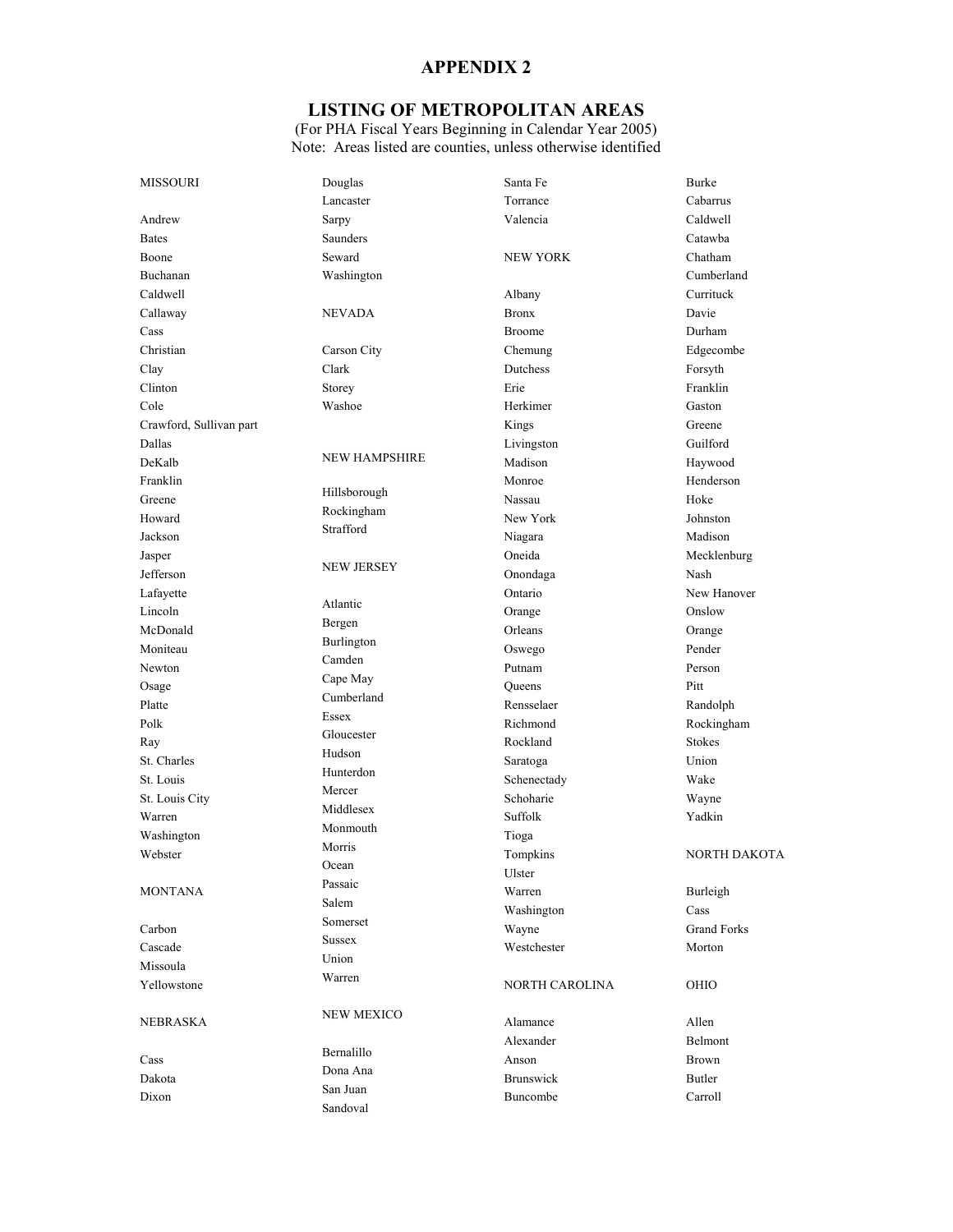# **LISTING OF METROPOLITAN AREAS**

| MISSOURI                | Douglas              | Santa Fe         | <b>Burke</b>        |
|-------------------------|----------------------|------------------|---------------------|
|                         | Lancaster            | Torrance         | Cabarrus            |
| Andrew                  | Sarpy                | Valencia         | Caldwell            |
| <b>Bates</b>            | <b>Saunders</b>      |                  | Catawba             |
| Boone                   | Seward               | <b>NEW YORK</b>  | Chatham             |
| Buchanan                | Washington           |                  | Cumberland          |
| Caldwell                |                      | Albany           | Currituck           |
| Callaway                | <b>NEVADA</b>        | <b>Bronx</b>     | Davie               |
| Cass                    |                      | <b>Broome</b>    | Durham              |
| Christian               | Carson City          | Chemung          | Edgecombe           |
| Clay                    | Clark                | Dutchess         | Forsyth             |
| Clinton                 | Storey               | Erie             | Franklin            |
| Cole                    | Washoe               | Herkimer         | Gaston              |
| Crawford, Sullivan part |                      | Kings            | Greene              |
| Dallas                  |                      | Livingston       | Guilford            |
| DeKalb                  | <b>NEW HAMPSHIRE</b> | Madison          | Haywood             |
| Franklin                |                      | Monroe           | Henderson           |
| Greene                  | Hillsborough         | Nassau           | Hoke                |
| Howard                  | Rockingham           | New York         | Johnston            |
| Jackson                 | Strafford            | Niagara          | Madison             |
| Jasper                  |                      | Oneida           | Mecklenburg         |
| Jefferson               | <b>NEW JERSEY</b>    | Onondaga         | Nash                |
|                         |                      | Ontario          | New Hanover         |
| Lafayette<br>Lincoln    | Atlantic             |                  |                     |
|                         | Bergen               | Orange           | Onslow              |
| McDonald                | Burlington           | Orleans          | Orange              |
| Moniteau                | Camden               | Oswego           | Pender              |
| Newton                  | Cape May             | Putnam           | Person              |
| Osage                   | Cumberland           | Oueens           | Pitt                |
| Platte                  | Essex                | Rensselaer       | Randolph            |
| Polk                    | Gloucester           | Richmond         | Rockingham          |
| Ray                     | Hudson               | Rockland         | <b>Stokes</b>       |
| St. Charles             | Hunterdon            | Saratoga         | Union               |
| St. Louis               | Mercer               | Schenectady      | Wake                |
| St. Louis City          | Middlesex            | Schoharie        | Wayne               |
| Warren                  | Monmouth             | Suffolk          | Yadkin              |
| Washington              | Morris               | Tioga            |                     |
| Webster                 | Ocean                | Tompkins         | <b>NORTH DAKOTA</b> |
|                         | Passaic              | Ulster           |                     |
| <b>MONTANA</b>          | Salem                | Warren           | Burleigh            |
|                         | Somerset             | Washington       | Cass                |
| Carbon                  | Sussex               | Wayne            | <b>Grand Forks</b>  |
| Cascade                 | Union                | Westchester      | Morton              |
| Missoula                | Warren               |                  |                     |
| Yellowstone             |                      | NORTH CAROLINA   | OHIO                |
| NEBRASKA                | <b>NEW MEXICO</b>    | Alamance         | Allen               |
|                         |                      | Alexander        | Belmont             |
| Cass                    | Bernalillo           | Anson            | <b>Brown</b>        |
| Dakota                  | Dona Ana             | <b>Brunswick</b> | Butler              |
| Dixon                   | San Juan             | Buncombe         | Carroll             |
|                         | Sandoval             |                  |                     |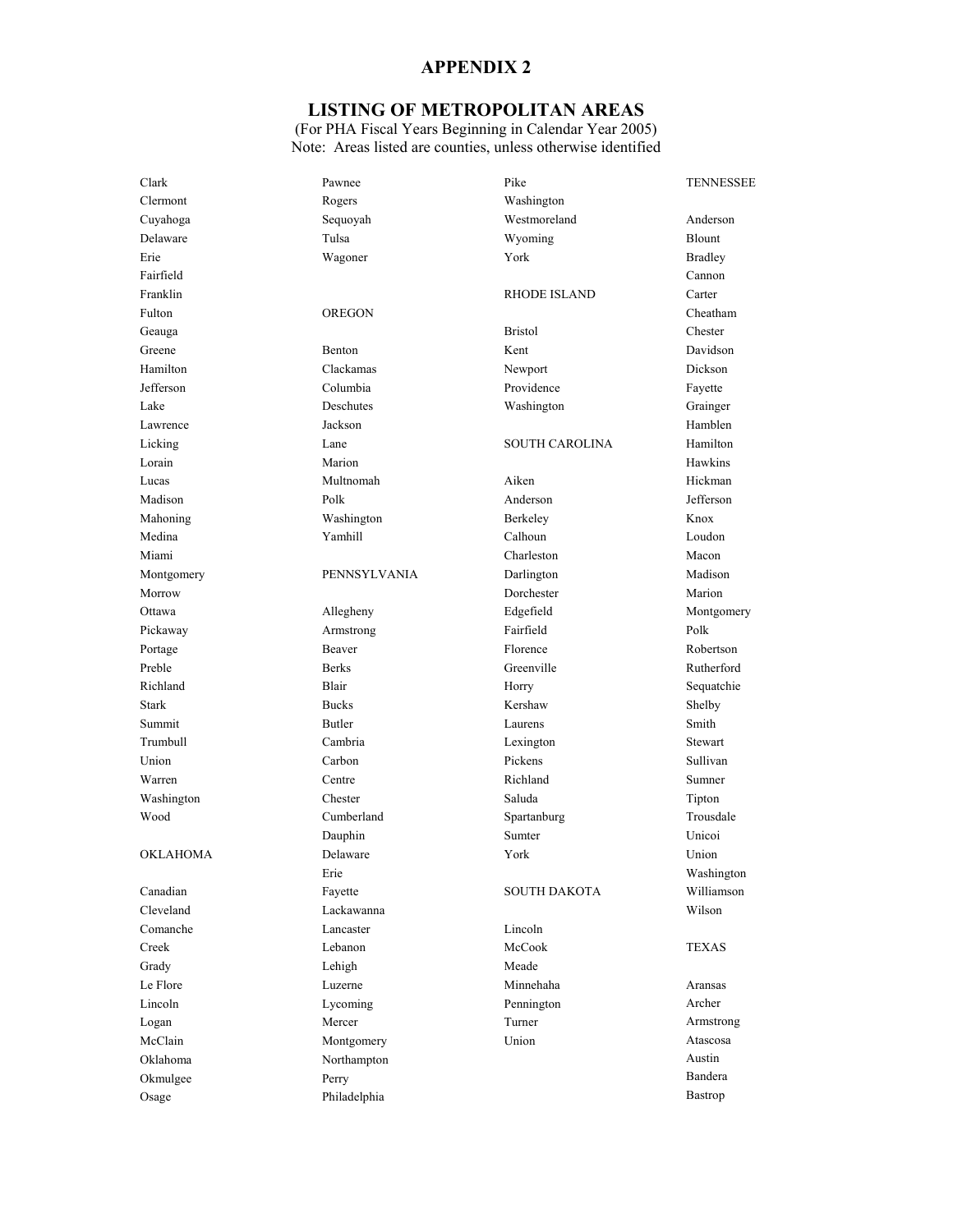## **LISTING OF METROPOLITAN AREAS**

| Clark            | Pawnee        | Pike                  | <b>TENNESSEE</b> |
|------------------|---------------|-----------------------|------------------|
| Clermont         | Rogers        | Washington            |                  |
| Cuyahoga         | Sequoyah      | Westmoreland          | Anderson         |
| Delaware         | Tulsa         | Wyoming               | Blount           |
| Erie             | Wagoner       | York                  | <b>Bradley</b>   |
| Fairfield        |               |                       | Cannon           |
| Franklin         |               | <b>RHODE ISLAND</b>   | Carter           |
| Fulton           | <b>OREGON</b> |                       | Cheatham         |
| Geauga           |               | <b>Bristol</b>        | Chester          |
| Greene           | Benton        | Kent                  | Davidson         |
| Hamilton         | Clackamas     | Newport               | Dickson          |
| Jefferson        | Columbia      | Providence            | Fayette          |
| Lake             | Deschutes     | Washington            | Grainger         |
| Lawrence         | Jackson       |                       | Hamblen          |
| Licking          | Lane          | <b>SOUTH CAROLINA</b> | Hamilton         |
| Lorain           | Marion        |                       | Hawkins          |
| Lucas            | Multnomah     | Aiken                 | Hickman          |
| Madison          | Polk          | Anderson              | Jefferson        |
| Mahoning         | Washington    | Berkeley              | Knox             |
| Medina           | Yamhill       | Calhoun               | Loudon           |
| Miami            |               | Charleston            | Macon            |
| Montgomery       | PENNSYLVANIA  | Darlington            | Madison          |
| Morrow           |               | Dorchester            | Marion           |
| Ottawa           | Allegheny     | Edgefield             | Montgomery       |
| Pickaway         | Armstrong     | Fairfield             | Polk             |
| Portage          | Beaver        | Florence              | Robertson        |
| Preble           | <b>Berks</b>  | Greenville            | Rutherford       |
| Richland         | Blair         | Horry                 | Sequatchie       |
| <b>Stark</b>     | <b>Bucks</b>  | Kershaw               | Shelby           |
| Summit           | Butler        | Laurens               | Smith            |
| Trumbull         | Cambria       | Lexington             | Stewart          |
| Union            | Carbon        | Pickens               | Sullivan         |
| Warren           | Centre        | Richland              | Sumner           |
| Washington       | Chester       | Saluda                | Tipton           |
| Wood             | Cumberland    | Spartanburg           | Trousdale        |
|                  | Dauphin       | Sumter                | Unicoi           |
| <b>OKLAHOMA</b>  | Delaware      | York                  | Union            |
|                  | Erie          |                       | Washington       |
| Canadian         | Fayette       | SOUTH DAKOTA          | Williamson       |
| Cleveland        | Lackawanna    |                       | Wilson           |
| Comanche         | Lancaster     | Lincoln               |                  |
| Creek            | Lebanon       | McCook                | TEXAS            |
| Grady            | Lehigh        | Meade                 |                  |
| Le Flore         | Luzerne       | Minnehaha             | Aransas          |
| Lincoln          | Lycoming      | Pennington            | Archer           |
|                  | Mercer        | Turner                | Armstrong        |
| Logan<br>McClain |               | Union                 | Atascosa         |
|                  | Montgomery    |                       | Austin           |
| Oklahoma         | Northampton   |                       | Bandera          |
| Okmulgee         | Perry         |                       | Bastrop          |
| Osage            | Philadelphia  |                       |                  |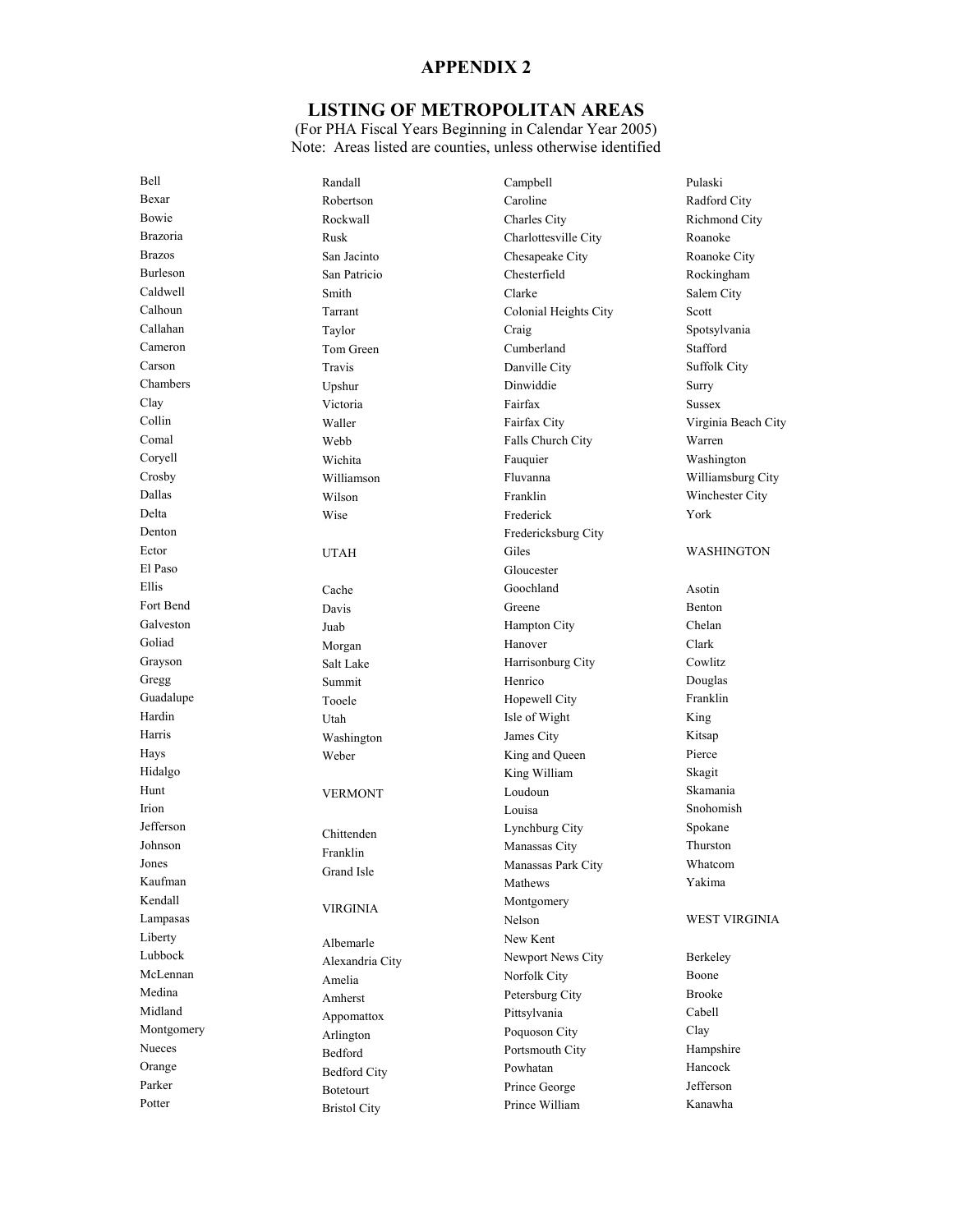## **LISTING OF METROPOLITAN AREAS**

| Bell            | Randall             | Campbell                         | Pulaski              |
|-----------------|---------------------|----------------------------------|----------------------|
| Bexar           | Robertson           | Caroline                         | Radford City         |
| Bowie           | Rockwall            | Charles City                     | Richmond City        |
| <b>Brazoria</b> | Rusk                | Charlottesville City             | Roanoke              |
| <b>Brazos</b>   | San Jacinto         | Chesapeake City                  | Roanoke City         |
| Burleson        | San Patricio        | Chesterfield                     | Rockingham           |
| Caldwell        | Smith               | Clarke                           | Salem City           |
| Calhoun         | Tarrant             | Colonial Heights City            | Scott                |
| Callahan        | Taylor              | Craig                            | Spotsylvania         |
| Cameron         | Tom Green           | Cumberland                       | Stafford             |
| Carson          | Travis              | Danville City                    | <b>Suffolk City</b>  |
| Chambers        | Upshur              | Dinwiddie                        | Surry                |
| Clay            | Victoria            | Fairfax                          | <b>Sussex</b>        |
| Collin          | Waller              | Fairfax City                     | Virginia Beach City  |
| Comal           | Webb                | Falls Church City                | Warren               |
| Coryell         | Wichita             | Fauquier                         | Washington           |
| Crosby          | Williamson          | Fluvanna                         | Williamsburg City    |
| Dallas          | Wilson              | Franklin                         | Winchester City      |
| Delta           | Wise                | Frederick                        | York                 |
| Denton          |                     | Fredericksburg City              |                      |
| Ector           | <b>UTAH</b>         | Giles                            | WASHINGTON           |
| El Paso         |                     | Gloucester                       |                      |
| Ellis           | Cache               | Goochland                        | Asotin               |
| Fort Bend       | Davis               | Greene                           | Benton               |
| Galveston       | Juab                | Hampton City                     | Chelan               |
| Goliad          | Morgan              | Hanover                          | Clark                |
| Grayson         | Salt Lake           | Harrisonburg City                | Cowlitz              |
| Gregg           | Summit              | Henrico                          | Douglas              |
| Guadalupe       | Tooele              | Hopewell City                    | Franklin             |
| Hardin          | Utah                | Isle of Wight                    | King                 |
| Harris          | Washington          | James City                       | Kitsap               |
| Hays            |                     | King and Queen                   | Pierce               |
| Hidalgo         | Weber               | King William                     | Skagit               |
| Hunt            |                     | Loudoun                          | Skamania             |
| Irion           | <b>VERMONT</b>      | Louisa                           | Snohomish            |
| Jefferson       |                     | Lynchburg City                   | Spokane              |
| Johnson         | Chittenden          | Manassas City                    | Thurston             |
| Jones           | Franklin            | Manassas Park City               | Whatcom              |
| Kaufman         | Grand Isle          | Mathews                          | Yakima               |
| Kendall         |                     | Montgomery                       |                      |
| Lampasas        | VIRGINIA            | Nelson                           | <b>WEST VIRGINIA</b> |
| Liberty         |                     | New Kent                         |                      |
| Lubbock         | Albemarle           | Newport News City                | Berkeley             |
| McLennan        | Alexandria City     | Norfolk City                     | Boone                |
| Medina          | Amelia              | Petersburg City                  | <b>Brooke</b>        |
| Midland         | Amherst             | Pittsylvania                     | Cabell               |
| Montgomery      | Appomattox          |                                  | Clay                 |
| Nueces          | Arlington           | Poquoson City<br>Portsmouth City | Hampshire            |
| Orange          | Bedford             | Powhatan                         | Hancock              |
| Parker          | <b>Bedford City</b> |                                  | Jefferson            |
| Potter          | Botetourt           | Prince George                    | Kanawha              |
|                 | <b>Bristol City</b> | Prince William                   |                      |